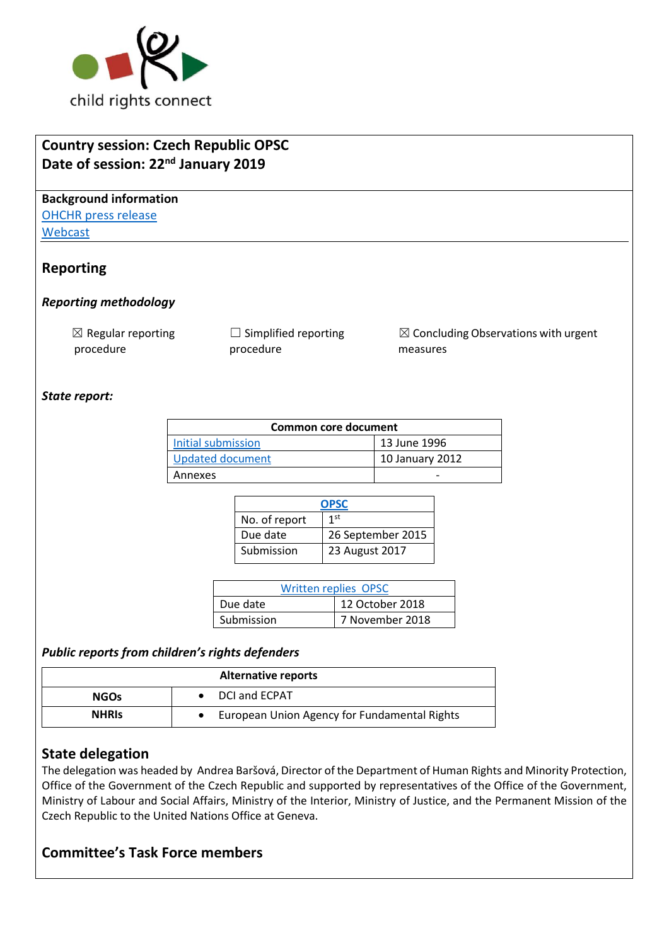

# **Country session: Czech Republic OPSC Date of session: 22nd January 2019 Background information** [OHCHR press release](https://www.ohchr.org/EN/NewsEvents/Pages/DisplayNews.aspx?NewsID=24099&LangID=E) [Webcast](http://webtv.un.org/search/consideration-of-czech-republic-opsc-2353rd-meeting-80th-session-committee-on-the-rights-of-the-child/5992432039001/?term=&lan=english&cat=Treaty%20Bodies&sort=date&page=1) **Reporting**  *Reporting methodology*  $\boxtimes$  Regular reporting procedure  $\Box$  Simplified reporting procedure  $\boxtimes$  Concluding Observations with urgent measures *State report:* **Common core document**  [Initial submission](https://tbinternet.ohchr.org/_layouts/treatybodyexternal/Download.aspx?symbolno=HRI%2fCORE%2f1%2fAdd.71&Lang=en) 13 June 1996 [Updated document](https://tbinternet.ohchr.org/_layouts/treatybodyexternal/Download.aspx?symbolno=HRI%2fCORE%2fCZE%2f2010&Lang=en) 10 January 2012 Annexes and the set of the set of the set of the set of the set of the set of the set of the set of the set of

| <b>OPSC</b>   |                   |  |
|---------------|-------------------|--|
| No. of report | 1st               |  |
| Due date      | 26 September 2015 |  |
| Submission    | 23 August 2017    |  |

| <b>Written replies OPSC</b> |                 |  |
|-----------------------------|-----------------|--|
| Due date                    | 12 October 2018 |  |
| Submission                  | 7 November 2018 |  |

### *Public reports from children's rights defenders*

| <b>Alternative reports</b>                                   |                      |  |  |
|--------------------------------------------------------------|----------------------|--|--|
| <b>NGOs</b>                                                  | <b>DCI and ECPAT</b> |  |  |
| European Union Agency for Fundamental Rights<br><b>NHRIS</b> |                      |  |  |

### **State delegation**

The delegation was headed by Andrea Baršová, Director of the Department of Human Rights and Minority Protection, Office of the Government of the Czech Republic and supported by representatives of the Office of the Government, Ministry of Labour and Social Affairs, Ministry of the Interior, Ministry of Justice, and the Permanent Mission of the Czech Republic to the United Nations Office at Geneva.

### **Committee's Task Force members**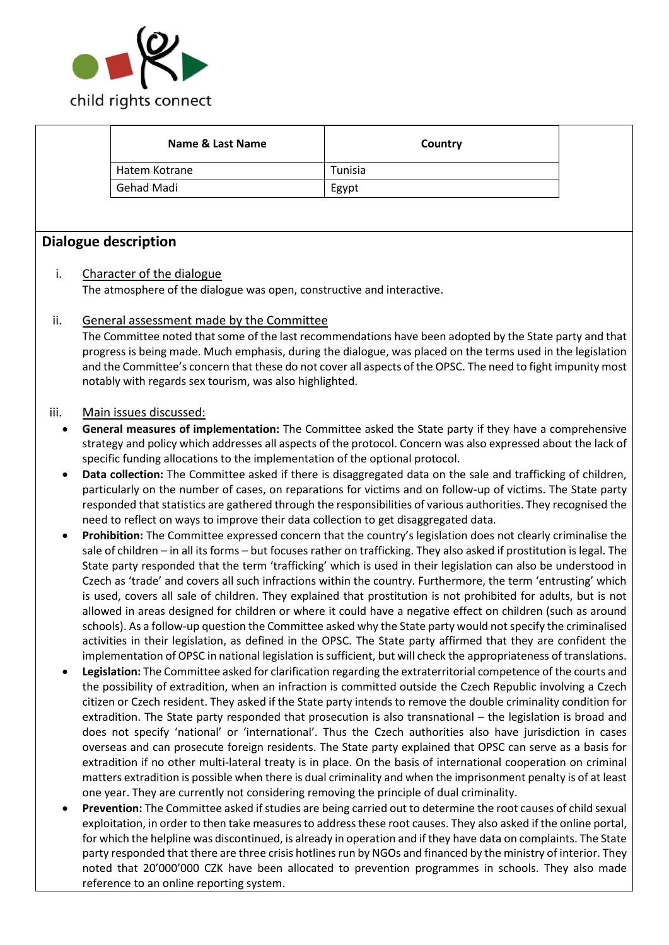

|      | <b>Name &amp; Last Name</b>                                                                                                                                                                                                   | Country                                                                                                                                                                                                                         |  |  |  |
|------|-------------------------------------------------------------------------------------------------------------------------------------------------------------------------------------------------------------------------------|---------------------------------------------------------------------------------------------------------------------------------------------------------------------------------------------------------------------------------|--|--|--|
|      | Hatem Kotrane                                                                                                                                                                                                                 | Tunisia                                                                                                                                                                                                                         |  |  |  |
|      | Gehad Madi                                                                                                                                                                                                                    | Egypt                                                                                                                                                                                                                           |  |  |  |
|      |                                                                                                                                                                                                                               |                                                                                                                                                                                                                                 |  |  |  |
|      | <b>Dialogue description</b>                                                                                                                                                                                                   |                                                                                                                                                                                                                                 |  |  |  |
| i.   | Character of the dialogue                                                                                                                                                                                                     |                                                                                                                                                                                                                                 |  |  |  |
|      | The atmosphere of the dialogue was open, constructive and interactive.                                                                                                                                                        |                                                                                                                                                                                                                                 |  |  |  |
| ii.  | General assessment made by the Committee                                                                                                                                                                                      |                                                                                                                                                                                                                                 |  |  |  |
|      |                                                                                                                                                                                                                               | The Committee noted that some of the last recommendations have been adopted by the State party and that                                                                                                                         |  |  |  |
|      |                                                                                                                                                                                                                               | progress is being made. Much emphasis, during the dialogue, was placed on the terms used in the legislation                                                                                                                     |  |  |  |
|      | notably with regards sex tourism, was also highlighted.                                                                                                                                                                       | and the Committee's concern that these do not cover all aspects of the OPSC. The need to fight impunity most                                                                                                                    |  |  |  |
|      |                                                                                                                                                                                                                               |                                                                                                                                                                                                                                 |  |  |  |
| iii. | Main issues discussed:                                                                                                                                                                                                        |                                                                                                                                                                                                                                 |  |  |  |
| ٠    |                                                                                                                                                                                                                               | General measures of implementation: The Committee asked the State party if they have a comprehensive                                                                                                                            |  |  |  |
|      |                                                                                                                                                                                                                               | strategy and policy which addresses all aspects of the protocol. Concern was also expressed about the lack of                                                                                                                   |  |  |  |
|      | specific funding allocations to the implementation of the optional protocol.                                                                                                                                                  |                                                                                                                                                                                                                                 |  |  |  |
|      |                                                                                                                                                                                                                               | Data collection: The Committee asked if there is disaggregated data on the sale and trafficking of children,                                                                                                                    |  |  |  |
|      |                                                                                                                                                                                                                               | particularly on the number of cases, on reparations for victims and on follow-up of victims. The State party<br>responded that statistics are gathered through the responsibilities of various authorities. They recognised the |  |  |  |
|      | need to reflect on ways to improve their data collection to get disaggregated data.                                                                                                                                           |                                                                                                                                                                                                                                 |  |  |  |
|      |                                                                                                                                                                                                                               | Prohibition: The Committee expressed concern that the country's legislation does not clearly criminalise the                                                                                                                    |  |  |  |
|      |                                                                                                                                                                                                                               | sale of children - in all its forms - but focuses rather on trafficking. They also asked if prostitution is legal. The                                                                                                          |  |  |  |
|      |                                                                                                                                                                                                                               | State party responded that the term 'trafficking' which is used in their legislation can also be understood in                                                                                                                  |  |  |  |
|      |                                                                                                                                                                                                                               | Czech as 'trade' and covers all such infractions within the country. Furthermore, the term 'entrusting' which                                                                                                                   |  |  |  |
|      | is used, covers all sale of children. They explained that prostitution is not prohibited for adults, but is not                                                                                                               |                                                                                                                                                                                                                                 |  |  |  |
|      | allowed in areas designed for children or where it could have a negative effect on children (such as around                                                                                                                   |                                                                                                                                                                                                                                 |  |  |  |
|      | schools). As a follow-up question the Committee asked why the State party would not specify the criminalised<br>activities in their legislation, as defined in the OPSC. The State party affirmed that they are confident the |                                                                                                                                                                                                                                 |  |  |  |
|      |                                                                                                                                                                                                                               | implementation of OPSC in national legislation is sufficient, but will check the appropriateness of translations.                                                                                                               |  |  |  |
|      | Legislation: The Committee asked for clarification regarding the extraterritorial competence of the courts and                                                                                                                |                                                                                                                                                                                                                                 |  |  |  |
|      | the possibility of extradition, when an infraction is committed outside the Czech Republic involving a Czech                                                                                                                  |                                                                                                                                                                                                                                 |  |  |  |
|      | citizen or Czech resident. They asked if the State party intends to remove the double criminality condition for                                                                                                               |                                                                                                                                                                                                                                 |  |  |  |
|      |                                                                                                                                                                                                                               | extradition. The State party responded that prosecution is also transnational - the legislation is broad and                                                                                                                    |  |  |  |
|      |                                                                                                                                                                                                                               | does not specify 'national' or 'international'. Thus the Czech authorities also have jurisdiction in cases                                                                                                                      |  |  |  |
|      |                                                                                                                                                                                                                               | overseas and can prosecute foreign residents. The State party explained that OPSC can serve as a basis for                                                                                                                      |  |  |  |
|      |                                                                                                                                                                                                                               | extradition if no other multi-lateral treaty is in place. On the basis of international cooperation on criminal                                                                                                                 |  |  |  |
|      | one year. They are currently not considering removing the principle of dual criminality.                                                                                                                                      | matters extradition is possible when there is dual criminality and when the imprisonment penalty is of at least                                                                                                                 |  |  |  |
|      |                                                                                                                                                                                                                               | Prevention: The Committee asked if studies are being carried out to determine the root causes of child sexual                                                                                                                   |  |  |  |
|      |                                                                                                                                                                                                                               | exploitation, in order to then take measures to address these root causes. They also asked if the online portal,                                                                                                                |  |  |  |
|      |                                                                                                                                                                                                                               | for which the helpline was discontinued, is already in operation and if they have data on complaints. The State                                                                                                                 |  |  |  |
|      |                                                                                                                                                                                                                               | party responded that there are three crisis hotlines run by NGOs and financed by the ministry of interior. They                                                                                                                 |  |  |  |

noted that 20'000'000 CZK have been allocated to prevention programmes in schools. They also made

reference to an online reporting system.